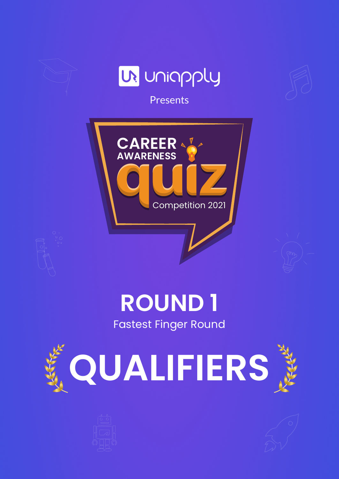

### **ROUND 1**

Fastest Finger Round





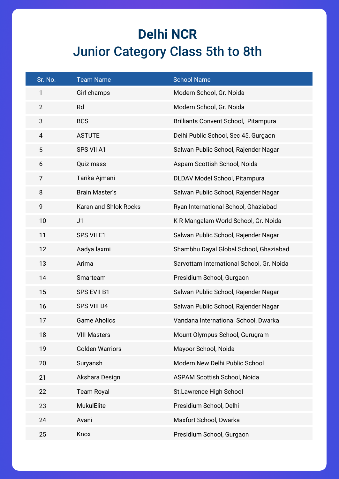#### **Delhi NCR**  Junior Category Class 5th to 8th

| Sr. No.        | <b>Team Name</b>       | <b>School Name</b>                        |
|----------------|------------------------|-------------------------------------------|
| 1              | Girl champs            | Modern School, Gr. Noida                  |
| $\overline{2}$ | Rd                     | Modern School, Gr. Noida                  |
| $\mathbf{3}$   | <b>BCS</b>             | Brilliants Convent School, Pitampura      |
| $\overline{4}$ | <b>ASTUTE</b>          | Delhi Public School, Sec 45, Gurgaon      |
| 5              | SPS VII A1             | Salwan Public School, Rajender Nagar      |
| 6              | Quiz mass              | Aspam Scottish School, Noida              |
| $\overline{7}$ | Tarika Ajmani          | DLDAV Model School, Pitampura             |
| 8              | <b>Brain Master's</b>  | Salwan Public School, Rajender Nagar      |
| 9              | Karan and Shlok Rocks  | Ryan International School, Ghaziabad      |
| 10             | J <sub>1</sub>         | K R Mangalam World School, Gr. Noida      |
| 11             | SPS VII E1             | Salwan Public School, Rajender Nagar      |
| 12             | Aadya laxmi            | Shambhu Dayal Global School, Ghaziabad    |
| 13             | Arima                  | Sarvottam International School, Gr. Noida |
| 14             | Smarteam               | Presidium School, Gurgaon                 |
| 15             | <b>SPS EVII B1</b>     | Salwan Public School, Rajender Nagar      |
| 16             | SPS VIII D4            | Salwan Public School, Rajender Nagar      |
| 17             | <b>Game Aholics</b>    | Vandana International School, Dwarka      |
| 18             | <b>VIII-Masters</b>    | Mount Olympus School, Gurugram            |
| 19             | <b>Golden Warriors</b> | Mayoor School, Noida                      |
| 20             | Suryansh               | Modern New Delhi Public School            |
| 21             | Akshara Design         | <b>ASPAM Scottish School, Noida</b>       |
| 22             | <b>Team Royal</b>      | St.Lawrence High School                   |
| 23             | <b>MukulElite</b>      | Presidium School, Delhi                   |
| 24             | Avani                  | Maxfort School, Dwarka                    |
| 25             | Knox                   | Presidium School, Gurgaon                 |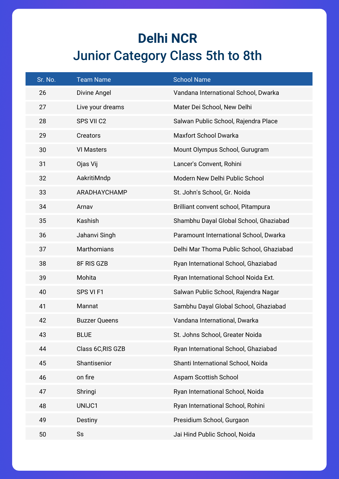#### **Delhi NCR**  Junior Category Class 5th to 8th

| Sr. No. | <b>Team Name</b>     | <b>School Name</b>                       |
|---------|----------------------|------------------------------------------|
| 26      | Divine Angel         | Vandana International School, Dwarka     |
| 27      | Live your dreams     | Mater Dei School, New Delhi              |
| 28      | SPS VII C2           | Salwan Public School, Rajendra Place     |
| 29      | Creators             | <b>Maxfort School Dwarka</b>             |
| 30      | <b>VI Masters</b>    | Mount Olympus School, Gurugram           |
| 31      | Ojas Vij             | Lancer's Convent, Rohini                 |
| 32      | AakritiMndp          | Modern New Delhi Public School           |
| 33      | ARADHAYCHAMP         | St. John's School, Gr. Noida             |
| 34      | Arnav                | Brilliant convent school, Pitampura      |
| 35      | Kashish              | Shambhu Dayal Global School, Ghaziabad   |
| 36      | Jahanvi Singh        | Paramount International School, Dwarka   |
| 37      | <b>Marthomians</b>   | Delhi Mar Thoma Public School, Ghaziabad |
| 38      | 8F RIS GZB           | Ryan International School, Ghaziabad     |
| 39      | Mohita               | Ryan International School Noida Ext.     |
| 40      | SPS VI F1            | Salwan Public School, Rajendra Nagar     |
| 41      | Mannat               | Sambhu Dayal Global School, Ghaziabad    |
| 42      | <b>Buzzer Queens</b> | Vandana International, Dwarka            |
| 43      | <b>BLUE</b>          | St. Johns School, Greater Noida          |
| 44      | Class 6C, RIS GZB    | Ryan International School, Ghaziabad     |
| 45      | Shantisenior         | Shanti International School, Noida       |
| 46      | on fire              | <b>Aspam Scottish School</b>             |
| 47      | Shringi              | Ryan International School, Noida         |
| 48      | UNIJC1               | Ryan International School, Rohini        |
| 49      | Destiny              | Presidium School, Gurgaon                |
| 50      | Ss                   | Jai Hind Public School, Noida            |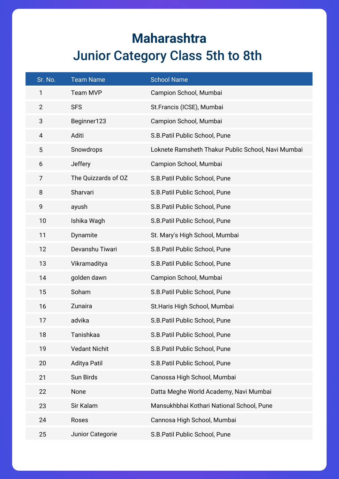#### **Maharashtra** Junior Category Class 5th to 8th

| Sr. No.        | <b>Team Name</b>     | <b>School Name</b>                                 |
|----------------|----------------------|----------------------------------------------------|
| $\mathbf{1}$   | Team MVP             | Campion School, Mumbai                             |
| $\overline{2}$ | <b>SFS</b>           | St. Francis (ICSE), Mumbai                         |
| 3              | Beginner123          | Campion School, Mumbai                             |
| $\overline{4}$ | Aditi                | S.B. Patil Public School, Pune                     |
| 5              | Snowdrops            | Loknete Ramsheth Thakur Public School, Navi Mumbai |
| 6              | Jeffery              | Campion School, Mumbai                             |
| $\overline{7}$ | The Quizzards of OZ  | S.B. Patil Public School, Pune                     |
| 8              | Sharvari             | S.B. Patil Public School, Pune                     |
| 9              | ayush                | S.B.Patil Public School, Pune                      |
| 10             | Ishika Wagh          | S.B. Patil Public School, Pune                     |
| 11             | Dynamite             | St. Mary's High School, Mumbai                     |
| 12             | Devanshu Tiwari      | S.B.Patil Public School, Pune                      |
| 13             | Vikramaditya         | S.B. Patil Public School, Pune                     |
| 14             | golden dawn          | Campion School, Mumbai                             |
| 15             | Soham                | S.B. Patil Public School, Pune                     |
| 16             | Zunaira              | St. Haris High School, Mumbai                      |
| 17             | advika               | S.B. Patil Public School, Pune                     |
| 18             | Tanishkaa            | S.B.Patil Public School, Pune                      |
| 19             | <b>Vedant Nichit</b> | S.B. Patil Public School, Pune                     |
| 20             | <b>Aditya Patil</b>  | S.B. Patil Public School, Pune                     |
| 21             | Sun Birds            | Canossa High School, Mumbai                        |
| 22             | None                 | Datta Meghe World Academy, Navi Mumbai             |
| 23             | Sir Kalam            | Mansukhbhai Kothari National School, Pune          |
| 24             | Roses                | Cannosa High School, Mumbai                        |
| 25             | Junior Categorie     | S.B.Patil Public School, Pune                      |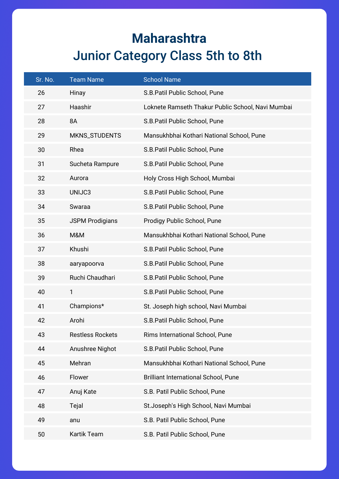#### **Maharashtra** Junior Category Class 5th to 8th

| Sr. No. | <b>Team Name</b>        | <b>School Name</b>                                |
|---------|-------------------------|---------------------------------------------------|
| 26      | Hinay                   | S.B. Patil Public School, Pune                    |
| 27      | Haashir                 | Loknete Ramseth Thakur Public School, Navi Mumbai |
| 28      | 8A                      | S.B. Patil Public School, Pune                    |
| 29      | MKNS_STUDENTS           | Mansukhbhai Kothari National School, Pune         |
| 30      | Rhea                    | S.B.Patil Public School, Pune                     |
| 31      | Sucheta Rampure         | S.B. Patil Public School, Pune                    |
| 32      | Aurora                  | Holy Cross High School, Mumbai                    |
| 33      | UNIJC3                  | S.B.Patil Public School, Pune                     |
| 34      | Swaraa                  | S.B. Patil Public School, Pune                    |
| 35      | <b>JSPM Prodigians</b>  | Prodigy Public School, Pune                       |
| 36      | M&M                     | Mansukhbhai Kothari National School, Pune         |
| 37      | Khushi                  | S.B. Patil Public School, Pune                    |
| 38      | aaryapoorva             | S.B. Patil Public School, Pune                    |
| 39      | Ruchi Chaudhari         | S.B. Patil Public School, Pune                    |
| 40      | 1                       | S.B.Patil Public School, Pune                     |
| 41      | Champions*              | St. Joseph high school, Navi Mumbai               |
| 42      | Arohi                   | S.B.Patil Public School, Pune                     |
| 43      | <b>Restless Rockets</b> | Rims International School, Pune                   |
| 44      | Anushree Nighot         | S.B. Patil Public School, Pune                    |
| 45      | Mehran                  | Mansukhbhai Kothari National School, Pune         |
| 46      | Flower                  | <b>Brilliant International School, Pune</b>       |
| 47      | Anuj Kate               | S.B. Patil Public School, Pune                    |
| 48      | Tejal                   | St.Joseph's High School, Navi Mumbai              |
| 49      | anu                     | S.B. Patil Public School, Pune                    |
| 50      | Kartik Team             | S.B. Patil Public School, Pune                    |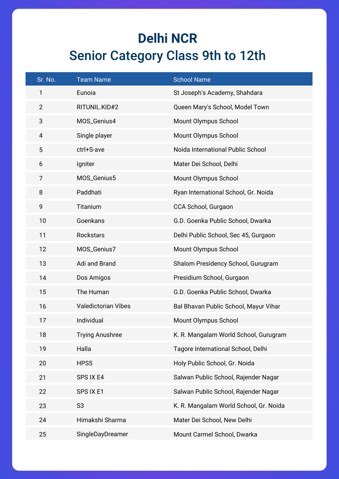#### **Delhi NCR**  Senior Category Class 9th to 12th

| Sr. No.        | <b>Team Name</b>           | <b>School Name</b>                     |
|----------------|----------------------------|----------------------------------------|
| 1              | Eunoia                     | St Joseph's Academy, Shahdara          |
| $\overline{2}$ | RITUNIL.KID#2              | Queen Mary's School, Model Town        |
| 3              | MOS_Genius4                | Mount Olympus School                   |
| $\overline{4}$ | Single player              | Mount Olympus School                   |
| 5              | ctrl+S-ave                 | Noida International Public School      |
| 6              | Igniter                    | Mater Dei School, Delhi                |
| 7              | MOS_Genius5                | Mount Olympus School                   |
| 8              | Paddhati                   | Ryan International School, Gr. Noida   |
| 9              | Titanium                   | CCA School, Gurgaon                    |
| 10             | Goenkans                   | G.D. Goenka Public School, Dwarka      |
| 11             | Rockstars                  | Delhi Public School, Sec 45, Gurgaon   |
| 12             | MOS_Genius7                | Mount Olympus School                   |
| 13             | Adi and Brand              | Shalom Presidency School, Gurugram     |
| 14             | Dos Amigos                 | Presidium School, Gurgaon              |
| 15             | The Human                  | G.D. Goenka Public School, Dwarka      |
| 16             | <b>Valedictorian Vibes</b> | Bal Bhavan Public School, Mayur Vihar  |
| 17             | Individual                 | Mount Olympus School                   |
| 18             | <b>Trying Anushree</b>     | K. R. Mangalam World School, Gurugram  |
| 19             | Halla                      | Tagore International School, Delhi     |
| 20             | HPS5                       | Holy Public School, Gr. Noida          |
| 21             | SPS IX E4                  | Salwan Public School, Rajender Nagar   |
| 22             | SPS IX E1                  | Salwan Public School, Rajender Nagar   |
| 23             | S <sub>3</sub>             | K. R. Mangalam World School, Gr. Noida |
| 24             | Himakshi Sharma            | Mater Dei School, New Delhi            |
| 25             | SingleDayDreamer           | Mount Carmel School, Dwarka            |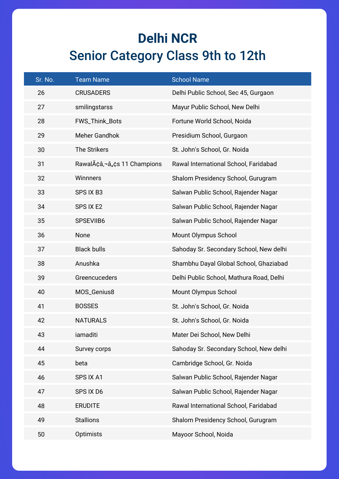#### **Delhi NCR**  Senior Category Class 9th to 12th

| Sr. No. | <b>Team Name</b>            | <b>School Name</b>                       |
|---------|-----------------------------|------------------------------------------|
| 26      | <b>CRUSADERS</b>            | Delhi Public School, Sec 45, Gurgaon     |
| 27      | smilingstarss               | Mayur Public School, New Delhi           |
| 28      | FWS_Think_Bots              | Fortune World School, Noida              |
| 29      | <b>Meher Gandhok</b>        | Presidium School, Gurgaon                |
| 30      | The Strikers                | St. John's School, Gr. Noida             |
| 31      | RawalÃçâ,¬â"çs 11 Champions | Rawal International School, Faridabad    |
| 32      | <b>Winnners</b>             | Shalom Presidency School, Gurugram       |
| 33      | SPS IX B3                   | Salwan Public School, Rajender Nagar     |
| 34      | SPS IX E2                   | Salwan Public School, Rajender Nagar     |
| 35      | SPSEVIIB6                   | Salwan Public School, Rajender Nagar     |
| 36      | None                        | Mount Olympus School                     |
| 37      | <b>Black bulls</b>          | Sahoday Sr. Secondary School, New delhi  |
| 38      | Anushka                     | Shambhu Dayal Global School, Ghaziabad   |
| 39      | Greencuceders               | Delhi Public School, Mathura Road, Delhi |
| 40      | MOS_Genius8                 | Mount Olympus School                     |
| 41      | <b>BOSSES</b>               | St. John's School, Gr. Noida             |
| 42      | <b>NATURALS</b>             | St. John's School, Gr. Noida             |
| 43      | iamaditi                    | Mater Dei School, New Delhi              |
| 44      | Survey corps                | Sahoday Sr. Secondary School, New delhi  |
| 45      | beta                        | Cambridge School, Gr. Noida              |
| 46      | SPS IX A1                   | Salwan Public School, Rajender Nagar     |
| 47      | SPS IX D6                   | Salwan Public School, Rajender Nagar     |
| 48      | <b>ERUDITE</b>              | Rawal International School, Faridabad    |
| 49      | <b>Stallions</b>            | Shalom Presidency School, Gurugram       |
| 50      | Optimists                   | Mayoor School, Noida                     |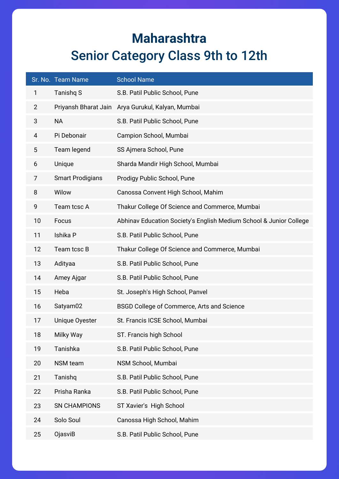#### **Maharashtra** Senior Category Class 9th to 12th

|                | Sr. No. Team Name       | <b>School Name</b>                                                 |
|----------------|-------------------------|--------------------------------------------------------------------|
| 1              | Tanishq S               | S.B. Patil Public School, Pune                                     |
| $\overline{2}$ |                         | Priyansh Bharat Jain Arya Gurukul, Kalyan, Mumbai                  |
| 3              | <b>NA</b>               | S.B. Patil Public School, Pune                                     |
| 4              | Pi Debonair             | Campion School, Mumbai                                             |
| 5              | Team legend             | SS Ajmera School, Pune                                             |
| 6              | Unique                  | Sharda Mandir High School, Mumbai                                  |
| 7              | <b>Smart Prodigians</b> | Prodigy Public School, Pune                                        |
| 8              | Wilow                   | Canossa Convent High School, Mahim                                 |
| 9              | Team tcsc A             | Thakur College Of Science and Commerce, Mumbai                     |
| 10             | Focus                   | Abhinav Education Society's English Medium School & Junior College |
| 11             | Ishika P                | S.B. Patil Public School, Pune                                     |
| 12             | Team tcsc B             | Thakur College Of Science and Commerce, Mumbai                     |
| 13             | Adityaa                 | S.B. Patil Public School, Pune                                     |
| 14             | Amey Ajgar              | S.B. Patil Public School, Pune                                     |
| 15             | Heba                    | St. Joseph's High School, Panvel                                   |
| 16             | Satyam02                | BSGD College of Commerce, Arts and Science                         |
| 17             | Unique Oyester          | St. Francis ICSE School, Mumbai                                    |
| 18             | Milky Way               | ST. Francis high School                                            |
| 19             | Tanishka                | S.B. Patil Public School, Pune                                     |
| 20             | NSM team                | NSM School, Mumbai                                                 |
| 21             | Tanishq                 | S.B. Patil Public School, Pune                                     |
| 22             | Prisha Ranka            | S.B. Patil Public School, Pune                                     |
| 23             | <b>SN CHAMPIONS</b>     | ST Xavier's High School                                            |
| 24             | Solo Soul               | Canossa High School, Mahim                                         |
| 25             | OjasviB                 | S.B. Patil Public School, Pune                                     |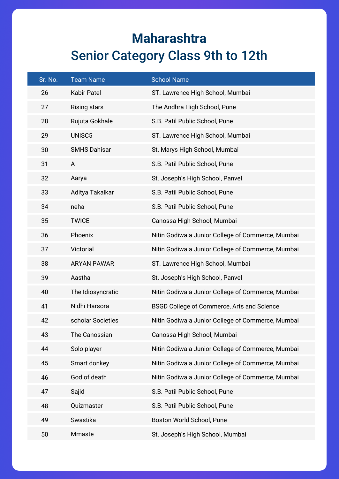#### **Maharashtra** Senior Category Class 9th to 12th

| Sr. No. | <b>Team Name</b>    | <b>School Name</b>                                |
|---------|---------------------|---------------------------------------------------|
| 26      | <b>Kabir Patel</b>  | ST. Lawrence High School, Mumbai                  |
| 27      | <b>Rising stars</b> | The Andhra High School, Pune                      |
| 28      | Rujuta Gokhale      | S.B. Patil Public School, Pune                    |
| 29      | UNISC5              | ST. Lawrence High School, Mumbai                  |
| 30      | <b>SMHS Dahisar</b> | St. Marys High School, Mumbai                     |
| 31      | A                   | S.B. Patil Public School, Pune                    |
| 32      | Aarya               | St. Joseph's High School, Panvel                  |
| 33      | Aditya Takalkar     | S.B. Patil Public School, Pune                    |
| 34      | neha                | S.B. Patil Public School, Pune                    |
| 35      | <b>TWICE</b>        | Canossa High School, Mumbai                       |
| 36      | Phoenix             | Nitin Godiwala Junior College of Commerce, Mumbai |
| 37      | Victorial           | Nitin Godiwala Junior College of Commerce, Mumbai |
| 38      | <b>ARYAN PAWAR</b>  | ST. Lawrence High School, Mumbai                  |
| 39      | Aastha              | St. Joseph's High School, Panvel                  |
| 40      | The Idiosyncratic   | Nitin Godiwala Junior College of Commerce, Mumbai |
| 41      | Nidhi Harsora       | BSGD College of Commerce, Arts and Science        |
| 42      | scholar Societies   | Nitin Godiwala Junior College of Commerce, Mumbai |
| 43      | The Canossian       | Canossa High School, Mumbai                       |
| 44      | Solo player         | Nitin Godiwala Junior College of Commerce, Mumbai |
| 45      | Smart donkey        | Nitin Godiwala Junior College of Commerce, Mumbai |
| 46      | God of death        | Nitin Godiwala Junior College of Commerce, Mumbai |
| 47      | Sajid               | S.B. Patil Public School, Pune                    |
| 48      | Quizmaster          | S.B. Patil Public School, Pune                    |
| 49      | Swastika            | Boston World School, Pune                         |
| 50      | Mmaste              | St. Joseph's High School, Mumbai                  |